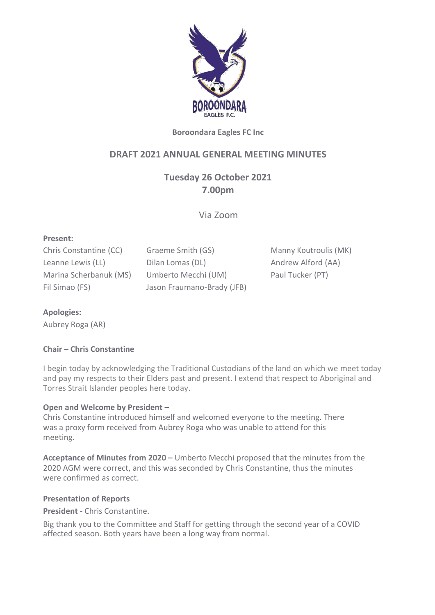

## **Boroondara Eagles FC Inc**

# **DRAFT 2021 ANNUAL GENERAL MEETING MINUTES**

**Tuesday 26 October 2021 7.00pm**

Via Zoom

### **Present:**

Chris Constantine (CC) Graeme Smith (GS) Manny Koutroulis (MK) Leanne Lewis (LL) **Dilan Lomas (DL)** Andrew Alford (AA) Marina Scherbanuk (MS) Umberto Mecchi (UM) Paul Tucker (PT) Fil Simao (FS) Jason Fraumano-Brady (JFB)

### **Apologies:**

Aubrey Roga (AR)

### **Chair – Chris Constantine**

I begin today by acknowledging the Traditional Custodians of the land on which we meet today and pay my respects to their Elders past and present. I extend that respect to Aboriginal and Torres Strait Islander peoples here today.

### **Open and Welcome by President –**

Chris Constantine introduced himself and welcomed everyone to the meeting. There was a proxy form received from Aubrey Roga who was unable to attend for this meeting.

**Acceptance of Minutes from 2020 –** Umberto Mecchi proposed that the minutes from the 2020 AGM were correct, and this was seconded by Chris Constantine, thus the minutes were confirmed as correct.

#### **Presentation of Reports**

**President** - Chris Constantine.

Big thank you to the Committee and Staff for getting through the second year of a COVID affected season. Both years have been a long way from normal.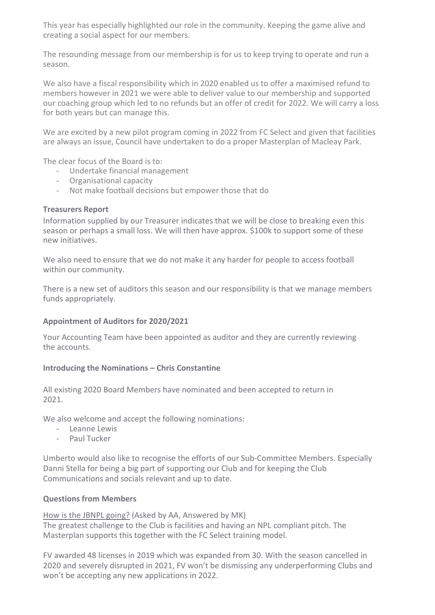This year has especially highlighted our role in the community. Keeping the game alive and creating a social aspect for our members.

The resounding message from our membership is for us to keep trying to operate and run a season.

We also have a fiscal responsibility which in 2020 enabled us to offer a maximised refund to members however in 2021 we were able to deliver value to our membership and supported our coaching group which led to no refunds but an offer of credit for 2022. We will carry a loss for both years but can manage this.

We are excited by a new pilot program coming in 2022 from FC Select and given that facilities are always an issue, Council have undertaken to do a proper Masterplan of Macleay Park.

The clear focus of the Board is to:

- Undertake financial management
- Organisational capacity
- Not make football decisions but empower those that do

### **Treasurers Report**

Information supplied by our Treasurer indicates that we will be close to breaking even this season or perhaps a small loss. We will then have approx. \$100k to support some of these new initiatives.

We also need to ensure that we do not make it any harder for people to access football within our community.

There is a new set of auditors this season and our responsibility is that we manage members funds appropriately.

## **Appointment of Auditors for 2020/2021**

Your Accounting Team have been appointed as auditor and they are currently reviewing the accounts.

## **Introducing the Nominations – Chris Constantine**

All existing 2020 Board Members have nominated and been accepted to return in 2021.

We also welcome and accept the following nominations:

- Leanne Lewis
- Paul Tucker

Umberto would also like to recognise the efforts of our Sub-Committee Members. Especially Danni Stella for being a big part of supporting our Club and for keeping the Club Communications and socials relevant and up to date.

## **Questions from Members**

How is the JBNPL going? (Asked by AA, Answered by MK) The greatest challenge to the Club is facilities and having an NPL compliant pitch. The Masterplan supports this together with the FC Select training model.

FV awarded 48 licenses in 2019 which was expanded from 30. With the season cancelled in 2020 and severely disrupted in 2021, FV won't be dismissing any underperforming Clubs and won't be accepting any new applications in 2022.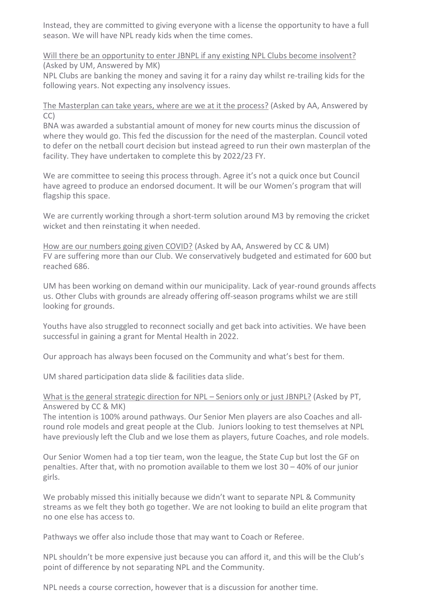Instead, they are committed to giving everyone with a license the opportunity to have a full season. We will have NPL ready kids when the time comes.

Will there be an opportunity to enter JBNPL if any existing NPL Clubs become insolvent? (Asked by UM, Answered by MK)

NPL Clubs are banking the money and saving it for a rainy day whilst re-trailing kids for the following years. Not expecting any insolvency issues.

The Masterplan can take years, where are we at it the process? (Asked by AA, Answered by CC)

BNA was awarded a substantial amount of money for new courts minus the discussion of where they would go. This fed the discussion for the need of the masterplan. Council voted to defer on the netball court decision but instead agreed to run their own masterplan of the facility. They have undertaken to complete this by 2022/23 FY.

We are committee to seeing this process through. Agree it's not a quick once but Council have agreed to produce an endorsed document. It will be our Women's program that will flagship this space.

We are currently working through a short-term solution around M3 by removing the cricket wicket and then reinstating it when needed.

How are our numbers going given COVID? (Asked by AA, Answered by CC & UM) FV are suffering more than our Club. We conservatively budgeted and estimated for 600 but reached 686.

UM has been working on demand within our municipality. Lack of year-round grounds affects us. Other Clubs with grounds are already offering off-season programs whilst we are still looking for grounds.

Youths have also struggled to reconnect socially and get back into activities. We have been successful in gaining a grant for Mental Health in 2022.

Our approach has always been focused on the Community and what's best for them.

UM shared participation data slide & facilities data slide.

## What is the general strategic direction for NPL – Seniors only or just JBNPL? (Asked by PT, Answered by CC & MK)

The intention is 100% around pathways. Our Senior Men players are also Coaches and allround role models and great people at the Club. Juniors looking to test themselves at NPL have previously left the Club and we lose them as players, future Coaches, and role models.

Our Senior Women had a top tier team, won the league, the State Cup but lost the GF on penalties. After that, with no promotion available to them we lost 30 – 40% of our junior girls.

We probably missed this initially because we didn't want to separate NPL & Community streams as we felt they both go together. We are not looking to build an elite program that no one else has access to.

Pathways we offer also include those that may want to Coach or Referee.

NPL shouldn't be more expensive just because you can afford it, and this will be the Club's point of difference by not separating NPL and the Community.

NPL needs a course correction, however that is a discussion for another time.